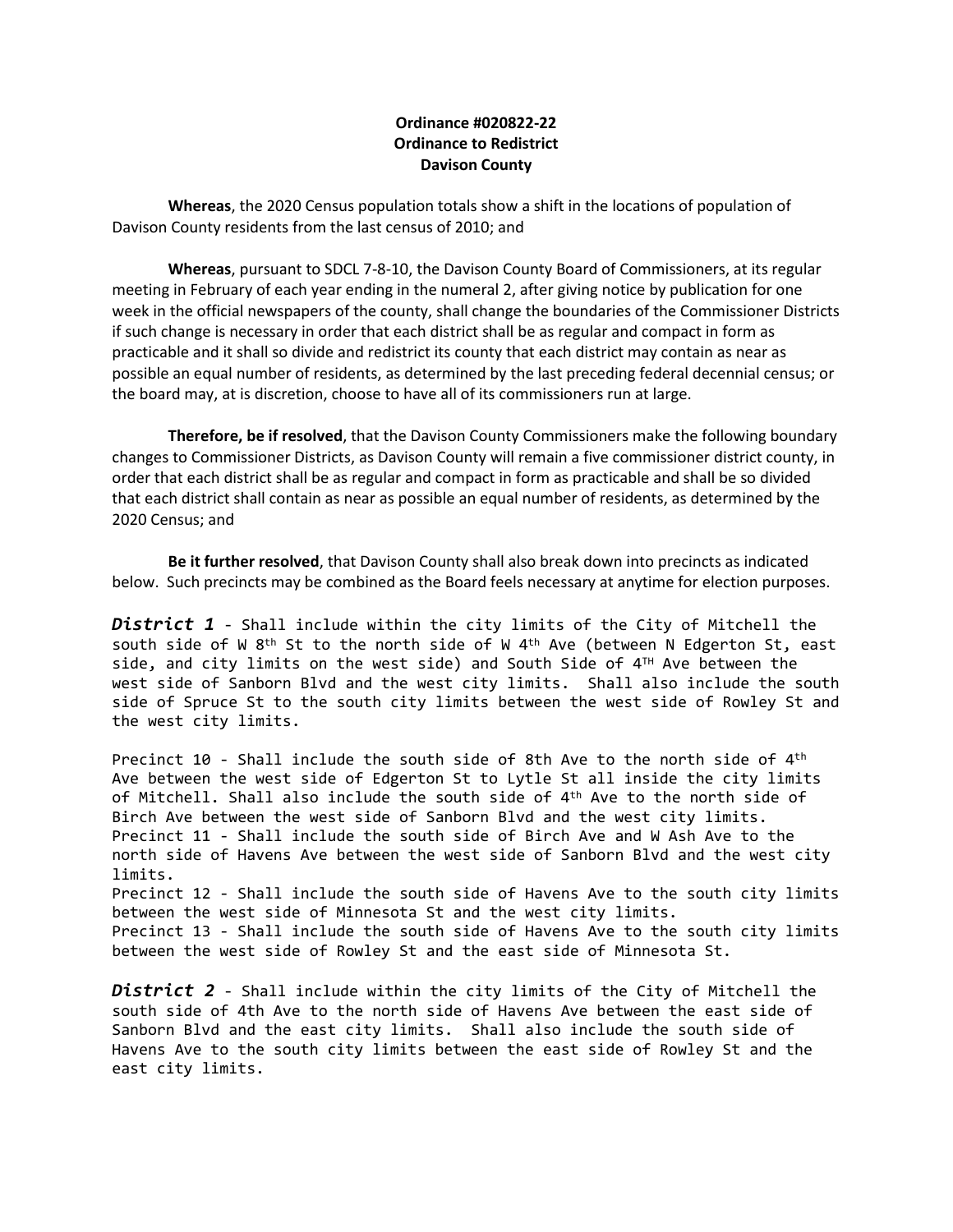## **Ordinance #020822-22 Ordinance to Redistrict Davison County**

**Whereas**, the 2020 Census population totals show a shift in the locations of population of Davison County residents from the last census of 2010; and

**Whereas**, pursuant to SDCL 7-8-10, the Davison County Board of Commissioners, at its regular meeting in February of each year ending in the numeral 2, after giving notice by publication for one week in the official newspapers of the county, shall change the boundaries of the Commissioner Districts if such change is necessary in order that each district shall be as regular and compact in form as practicable and it shall so divide and redistrict its county that each district may contain as near as possible an equal number of residents, as determined by the last preceding federal decennial census; or the board may, at is discretion, choose to have all of its commissioners run at large.

**Therefore, be if resolved**, that the Davison County Commissioners make the following boundary changes to Commissioner Districts, as Davison County will remain a five commissioner district county, in order that each district shall be as regular and compact in form as practicable and shall be so divided that each district shall contain as near as possible an equal number of residents, as determined by the 2020 Census; and

**Be it further resolved**, that Davison County shall also break down into precincts as indicated below. Such precincts may be combined as the Board feels necessary at anytime for election purposes.

*District 1* - Shall include within the city limits of the City of Mitchell the south side of W 8<sup>th</sup> St to the north side of W 4<sup>th</sup> Ave (between N Edgerton St, east side, and city limits on the west side) and South Side of  $4^{\text{\tiny TH}}$  Ave between the west side of Sanborn Blvd and the west city limits. Shall also include the south side of Spruce St to the south city limits between the west side of Rowley St and the west city limits.

Precinct 10 - Shall include the south side of 8th Ave to the north side of  $4^\text{th}$ Ave between the west side of Edgerton St to Lytle St all inside the city limits of Mitchell. Shall also include the south side of 4<sup>th</sup> Ave to the north side of Birch Ave between the west side of Sanborn Blvd and the west city limits. Precinct 11 - Shall include the south side of Birch Ave and W Ash Ave to the north side of Havens Ave between the west side of Sanborn Blvd and the west city limits. Precinct 12 - Shall include the south side of Havens Ave to the south city limits between the west side of Minnesota St and the west city limits. Precinct 13 - Shall include the south side of Havens Ave to the south city limits between the west side of Rowley St and the east side of Minnesota St.

*District 2* - Shall include within the city limits of the City of Mitchell the south side of 4th Ave to the north side of Havens Ave between the east side of Sanborn Blvd and the east city limits. Shall also include the south side of Havens Ave to the south city limits between the east side of Rowley St and the east city limits.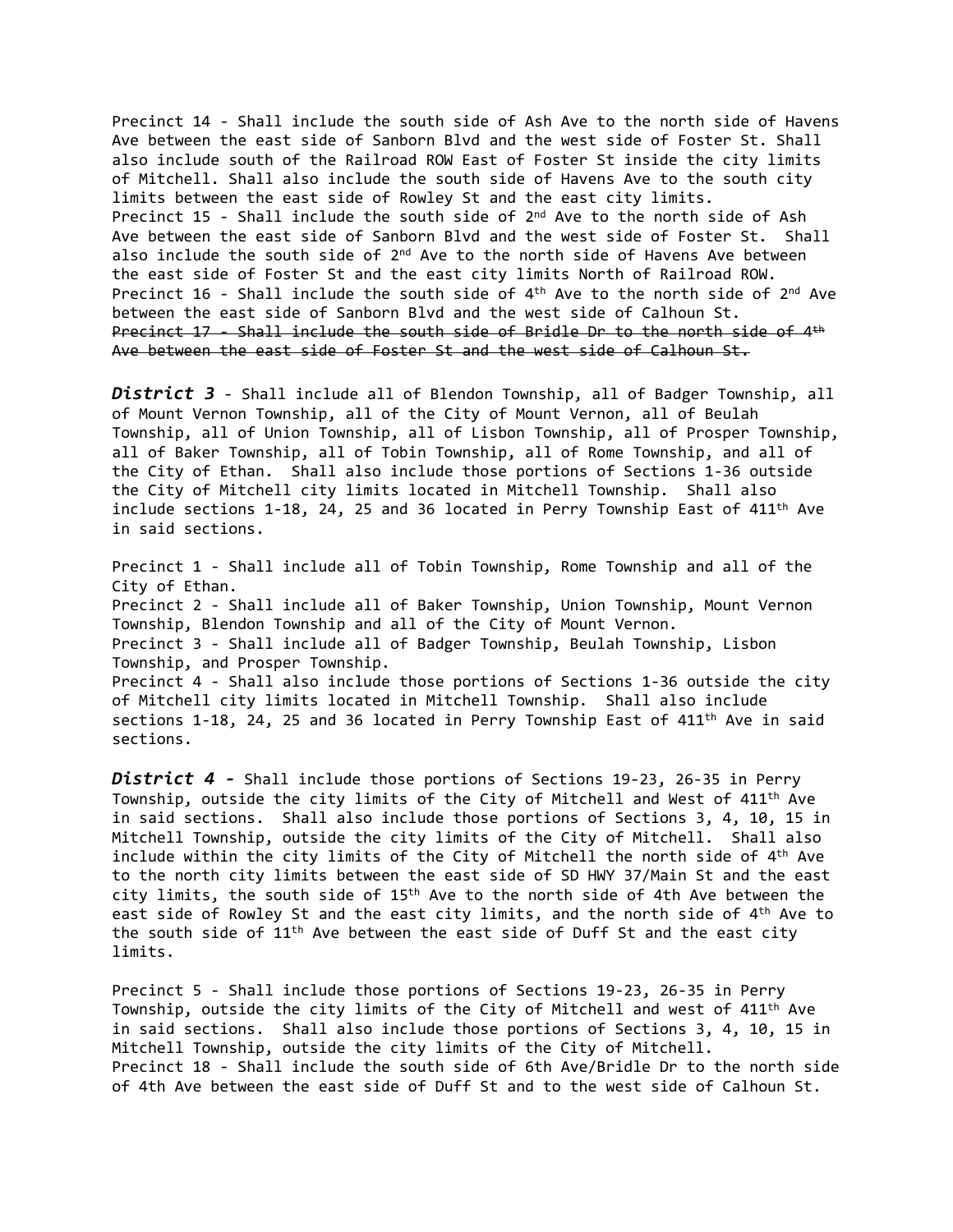Precinct 14 - Shall include the south side of Ash Ave to the north side of Havens Ave between the east side of Sanborn Blvd and the west side of Foster St. Shall also include south of the Railroad ROW East of Foster St inside the city limits of Mitchell. Shall also include the south side of Havens Ave to the south city limits between the east side of Rowley St and the east city limits. Precinct 15 - Shall include the south side of 2<sup>nd</sup> Ave to the north side of Ash Ave between the east side of Sanborn Blvd and the west side of Foster St. Shall also include the south side of 2<sup>nd</sup> Ave to the north side of Havens Ave between the east side of Foster St and the east city limits North of Railroad ROW. Precinct 16 - Shall include the south side of 4<sup>th</sup> Ave to the north side of 2<sup>nd</sup> Ave between the east side of Sanborn Blvd and the west side of Calhoun St. Precinct 17 - Shall include the south side of Bridle Dr to the north side of 4<sup>th</sup> Ave between the east side of Foster St and the west side of Calhoun St.

*District 3* - Shall include all of Blendon Township, all of Badger Township, all of Mount Vernon Township, all of the City of Mount Vernon, all of Beulah Township, all of Union Township, all of Lisbon Township, all of Prosper Township, all of Baker Township, all of Tobin Township, all of Rome Township, and all of the City of Ethan. Shall also include those portions of Sections 1-36 outside the City of Mitchell city limits located in Mitchell Township. Shall also include sections 1-18, 24, 25 and 36 located in Perry Township East of 411th Ave in said sections.

Precinct 1 - Shall include all of Tobin Township, Rome Township and all of the City of Ethan. Precinct 2 - Shall include all of Baker Township, Union Township, Mount Vernon Township, Blendon Township and all of the City of Mount Vernon. Precinct 3 - Shall include all of Badger Township, Beulah Township, Lisbon Township, and Prosper Township. Precinct 4 - Shall also include those portions of Sections 1-36 outside the city of Mitchell city limits located in Mitchell Township. Shall also include sections 1-18, 24, 25 and 36 located in Perry Township East of 411<sup>th</sup> Ave in said sections.

*District 4 -* Shall include those portions of Sections 19-23, 26-35 in Perry Township, outside the city limits of the City of Mitchell and West of 411th Ave in said sections. Shall also include those portions of Sections 3, 4, 10, 15 in Mitchell Township, outside the city limits of the City of Mitchell. Shall also include within the city limits of the City of Mitchell the north side of 4<sup>th</sup> Ave to the north city limits between the east side of SD HWY 37/Main St and the east city limits, the south side of 15th Ave to the north side of 4th Ave between the east side of Rowley St and the east city limits, and the north side of 4<sup>th</sup> Ave to the south side of  $11<sup>th</sup>$  Ave between the east side of Duff St and the east city limits.

Precinct 5 - Shall include those portions of Sections 19-23, 26-35 in Perry Township, outside the city limits of the City of Mitchell and west of 411th Ave in said sections. Shall also include those portions of Sections 3, 4, 10, 15 in Mitchell Township, outside the city limits of the City of Mitchell. Precinct 18 - Shall include the south side of 6th Ave/Bridle Dr to the north side of 4th Ave between the east side of Duff St and to the west side of Calhoun St.